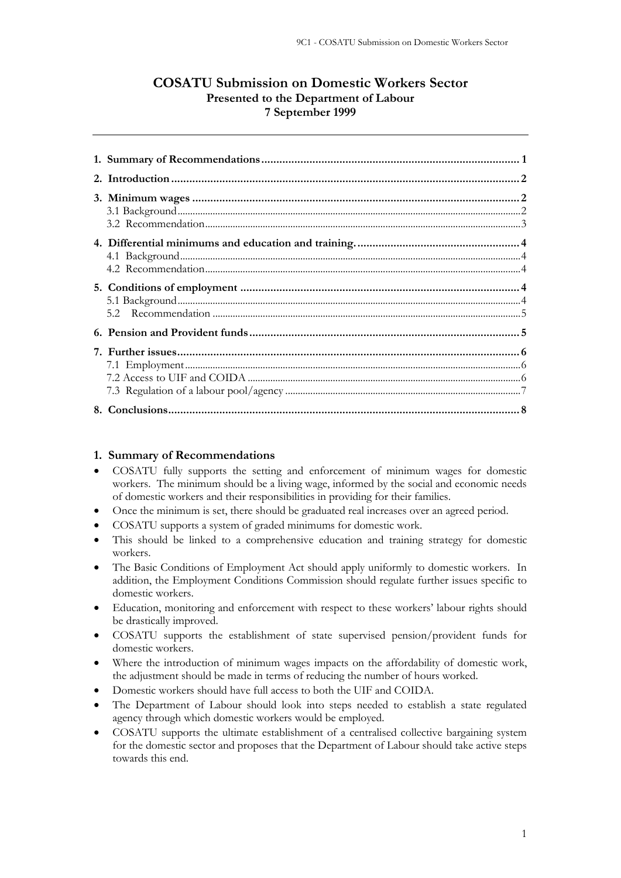# **COSATU Submission on Domestic Workers Sector Presented to the Department of Labour 7 September 1999**

## **1. Summary of Recommendations**

- COSATU fully supports the setting and enforcement of minimum wages for domestic workers. The minimum should be a living wage, informed by the social and economic needs of domestic workers and their responsibilities in providing for their families.
- Once the minimum is set, there should be graduated real increases over an agreed period.
- COSATU supports a system of graded minimums for domestic work.
- This should be linked to a comprehensive education and training strategy for domestic workers.
- The Basic Conditions of Employment Act should apply uniformly to domestic workers. In addition, the Employment Conditions Commission should regulate further issues specific to domestic workers.
- Education, monitoring and enforcement with respect to these workers' labour rights should be drastically improved.
- COSATU supports the establishment of state supervised pension/provident funds for domestic workers.
- Where the introduction of minimum wages impacts on the affordability of domestic work, the adjustment should be made in terms of reducing the number of hours worked.
- Domestic workers should have full access to both the UIF and COIDA.
- The Department of Labour should look into steps needed to establish a state regulated agency through which domestic workers would be employed.
- COSATU supports the ultimate establishment of a centralised collective bargaining system for the domestic sector and proposes that the Department of Labour should take active steps towards this end.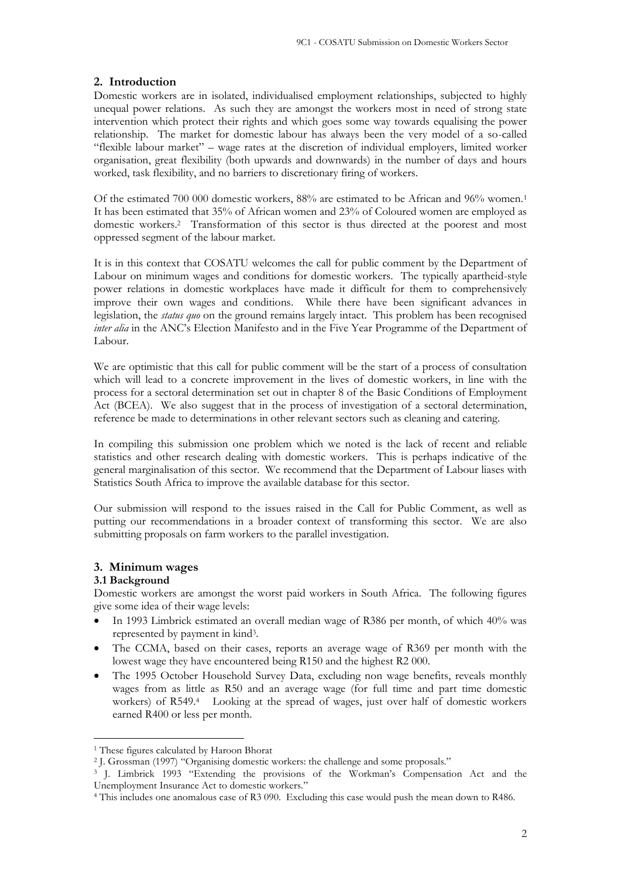### **2. Introduction**

Domestic workers are in isolated, individualised employment relationships, subjected to highly unequal power relations. As such they are amongst the workers most in need of strong state intervention which protect their rights and which goes some way towards equalising the power relationship. The market for domestic labour has always been the very model of a so-called "flexible labour market" – wage rates at the discretion of individual employers, limited worker organisation, great flexibility (both upwards and downwards) in the number of days and hours worked, task flexibility, and no barriers to discretionary firing of workers.

Of the estimated 700 000 domestic workers, 88% are estimated to be African and 96% women.<sup>1</sup> It has been estimated that 35% of African women and 23% of Coloured women are employed as domestic workers.<sup>2</sup> Transformation of this sector is thus directed at the poorest and most oppressed segment of the labour market.

It is in this context that COSATU welcomes the call for public comment by the Department of Labour on minimum wages and conditions for domestic workers. The typically apartheid-style power relations in domestic workplaces have made it difficult for them to comprehensively improve their own wages and conditions. While there have been significant advances in legislation, the *status quo* on the ground remains largely intact. This problem has been recognised *inter alia* in the ANC's Election Manifesto and in the Five Year Programme of the Department of Labour.

We are optimistic that this call for public comment will be the start of a process of consultation which will lead to a concrete improvement in the lives of domestic workers, in line with the process for a sectoral determination set out in chapter 8 of the Basic Conditions of Employment Act (BCEA). We also suggest that in the process of investigation of a sectoral determination, reference be made to determinations in other relevant sectors such as cleaning and catering.

In compiling this submission one problem which we noted is the lack of recent and reliable statistics and other research dealing with domestic workers. This is perhaps indicative of the general marginalisation of this sector. We recommend that the Department of Labour liases with Statistics South Africa to improve the available database for this sector.

Our submission will respond to the issues raised in the Call for Public Comment, as well as putting our recommendations in a broader context of transforming this sector. We are also submitting proposals on farm workers to the parallel investigation.

### **3. Minimum wages**

### **3.1 Background**

Domestic workers are amongst the worst paid workers in South Africa. The following figures give some idea of their wage levels:

- In 1993 Limbrick estimated an overall median wage of R386 per month, of which 40% was represented by payment in kind<sup>3</sup> .
- The CCMA, based on their cases, reports an average wage of R369 per month with the lowest wage they have encountered being R150 and the highest R2 000.
- The 1995 October Household Survey Data, excluding non wage benefits, reveals monthly wages from as little as R50 and an average wage (for full time and part time domestic workers) of R549.<sup>4</sup> Looking at the spread of wages, just over half of domestic workers earned R400 or less per month.

<sup>&</sup>lt;sup>1</sup> These figures calculated by Haroon Bhorat

<sup>2</sup> J. Grossman (1997) "Organising domestic workers: the challenge and some proposals."

<sup>3</sup> J. Limbrick 1993 "Extending the provisions of the Workman's Compensation Act and the Unemployment Insurance Act to domestic workers."

<sup>4</sup> This includes one anomalous case of R3 090. Excluding this case would push the mean down to R486.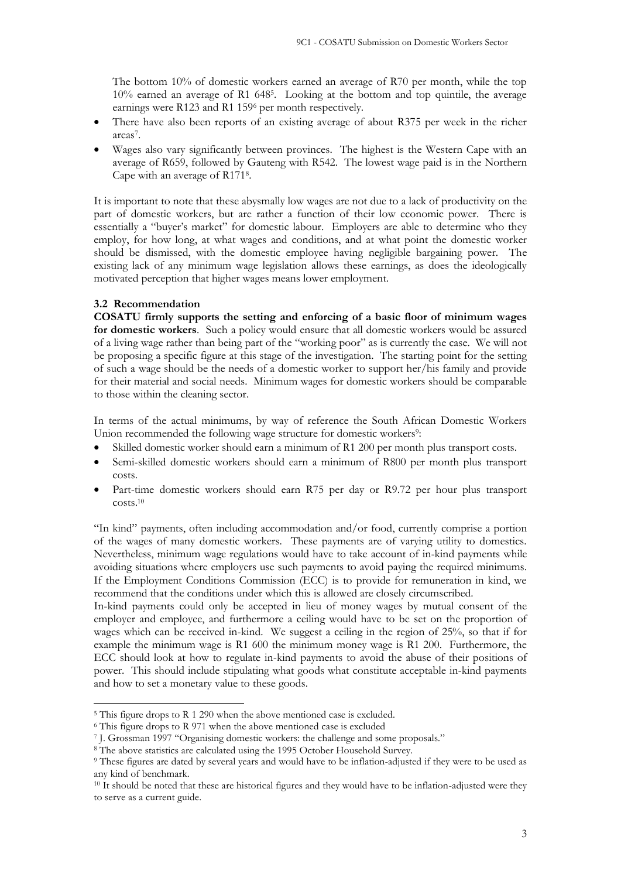The bottom 10% of domestic workers earned an average of R70 per month, while the top 10% earned an average of R1 648<sup>5</sup> . Looking at the bottom and top quintile, the average earnings were R123 and R1 159<sup>6</sup> per month respectively.

- There have also been reports of an existing average of about R375 per week in the richer areas<sup>7</sup>.
- Wages also vary significantly between provinces. The highest is the Western Cape with an average of R659, followed by Gauteng with R542. The lowest wage paid is in the Northern Cape with an average of R171<sup>8</sup> .

It is important to note that these abysmally low wages are not due to a lack of productivity on the part of domestic workers, but are rather a function of their low economic power. There is essentially a "buyer's market" for domestic labour. Employers are able to determine who they employ, for how long, at what wages and conditions, and at what point the domestic worker should be dismissed, with the domestic employee having negligible bargaining power. The existing lack of any minimum wage legislation allows these earnings, as does the ideologically motivated perception that higher wages means lower employment.

# **3.2 Recommendation**

**COSATU firmly supports the setting and enforcing of a basic floor of minimum wages for domestic workers**. Such a policy would ensure that all domestic workers would be assured of a living wage rather than being part of the "working poor" as is currently the case. We will not be proposing a specific figure at this stage of the investigation. The starting point for the setting of such a wage should be the needs of a domestic worker to support her/his family and provide for their material and social needs. Minimum wages for domestic workers should be comparable to those within the cleaning sector.

In terms of the actual minimums, by way of reference the South African Domestic Workers Union recommended the following wage structure for domestic workers<sup>9</sup>:

- Skilled domestic worker should earn a minimum of R1 200 per month plus transport costs.
- Semi-skilled domestic workers should earn a minimum of R800 per month plus transport costs.
- Part-time domestic workers should earn R75 per day or R9.72 per hour plus transport costs.<sup>10</sup>

"In kind" payments, often including accommodation and/or food, currently comprise a portion of the wages of many domestic workers. These payments are of varying utility to domestics. Nevertheless, minimum wage regulations would have to take account of in-kind payments while avoiding situations where employers use such payments to avoid paying the required minimums. If the Employment Conditions Commission (ECC) is to provide for remuneration in kind, we recommend that the conditions under which this is allowed are closely circumscribed.

In-kind payments could only be accepted in lieu of money wages by mutual consent of the employer and employee, and furthermore a ceiling would have to be set on the proportion of wages which can be received in-kind. We suggest a ceiling in the region of 25%, so that if for example the minimum wage is R1 600 the minimum money wage is R1 200. Furthermore, the ECC should look at how to regulate in-kind payments to avoid the abuse of their positions of power.This should include stipulating what goods what constitute acceptable in-kind payments and how to set a monetary value to these goods.

<sup>&</sup>lt;sup>5</sup> This figure drops to R 1 290 when the above mentioned case is excluded.

<sup>&</sup>lt;sup>6</sup> This figure drops to R 971 when the above mentioned case is excluded

<sup>7</sup> J. Grossman 1997 "Organising domestic workers: the challenge and some proposals."

<sup>8</sup> The above statistics are calculated using the 1995 October Household Survey.

<sup>9</sup> These figures are dated by several years and would have to be inflation-adjusted if they were to be used as any kind of benchmark.

<sup>&</sup>lt;sup>10</sup> It should be noted that these are historical figures and they would have to be inflation-adjusted were they to serve as a current guide.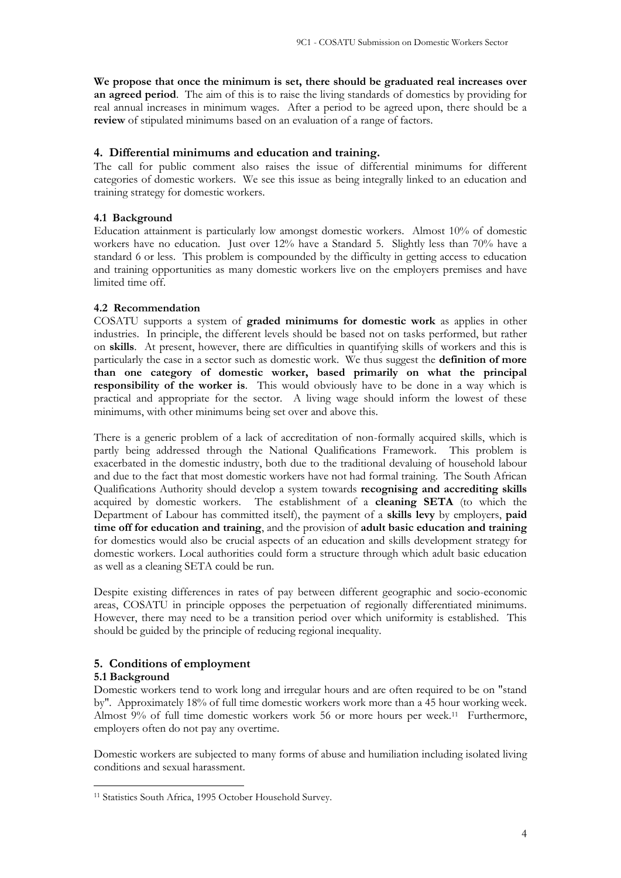**We propose that once the minimum is set, there should be graduated real increases over an agreed period**. The aim of this is to raise the living standards of domestics by providing for real annual increases in minimum wages. After a period to be agreed upon, there should be a **review** of stipulated minimums based on an evaluation of a range of factors.

# **4. Differential minimums and education and training.**

The call for public comment also raises the issue of differential minimums for different categories of domestic workers. We see this issue as being integrally linked to an education and training strategy for domestic workers.

# **4.1 Background**

Education attainment is particularly low amongst domestic workers. Almost 10% of domestic workers have no education. Just over 12% have a Standard 5. Slightly less than 70% have a standard 6 or less. This problem is compounded by the difficulty in getting access to education and training opportunities as many domestic workers live on the employers premises and have limited time off.

# **4.2 Recommendation**

COSATU supports a system of **graded minimums for domestic work** as applies in other industries. In principle, the different levels should be based not on tasks performed, but rather on **skills**. At present, however, there are difficulties in quantifying skills of workers and this is particularly the case in a sector such as domestic work. We thus suggest the **definition of more than one category of domestic worker, based primarily on what the principal responsibility of the worker is**. This would obviously have to be done in a way which is practical and appropriate for the sector. A living wage should inform the lowest of these minimums, with other minimums being set over and above this.

There is a generic problem of a lack of accreditation of non-formally acquired skills, which is partly being addressed through the National Qualifications Framework. This problem is exacerbated in the domestic industry, both due to the traditional devaluing of household labour and due to the fact that most domestic workers have not had formal training. The South African Qualifications Authority should develop a system towards **recognising and accrediting skills** acquired by domestic workers. The establishment of a **cleaning SETA** (to which the Department of Labour has committed itself), the payment of a **skills levy** by employers, **paid time off for education and training**, and the provision of **adult basic education and training** for domestics would also be crucial aspects of an education and skills development strategy for domestic workers. Local authorities could form a structure through which adult basic education as well as a cleaning SETA could be run.

Despite existing differences in rates of pay between different geographic and socio-economic areas, COSATU in principle opposes the perpetuation of regionally differentiated minimums. However, there may need to be a transition period over which uniformity is established. This should be guided by the principle of reducing regional inequality.

# **5. Conditions of employment**

# **5.1 Background**

Domestic workers tend to work long and irregular hours and are often required to be on "stand by". Approximately 18% of full time domestic workers work more than a 45 hour working week. Almost 9% of full time domestic workers work 56 or more hours per week.<sup>11</sup> Furthermore, employers often do not pay any overtime.

Domestic workers are subjected to many forms of abuse and humiliation including isolated living conditions and sexual harassment.

<sup>&</sup>lt;sup>11</sup> Statistics South Africa, 1995 October Household Survey.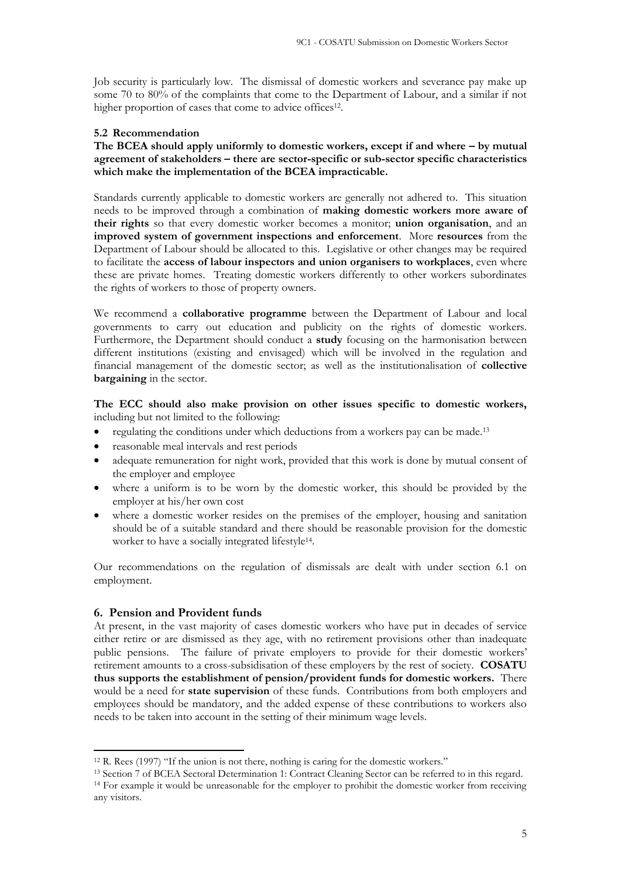Job security is particularly low. The dismissal of domestic workers and severance pay make up some 70 to 80% of the complaints that come to the Department of Labour, and a similar if not higher proportion of cases that come to advice offices<sup>12</sup>.

### **5.2 Recommendation**

**The BCEA should apply uniformly to domestic workers, except if and where – by mutual agreement of stakeholders – there are sector-specific or sub-sector specific characteristics which make the implementation of the BCEA impracticable.**

Standards currently applicable to domestic workers are generally not adhered to. This situation needs to be improved through a combination of **making domestic workers more aware of their rights** so that every domestic worker becomes a monitor; **union organisation**, and an **improved system of government inspections and enforcement**. More **resources** from the Department of Labour should be allocated to this. Legislative or other changes may be required to facilitate the **access of labour inspectors and union organisers to workplaces**, even where these are private homes. Treating domestic workers differently to other workers subordinates the rights of workers to those of property owners.

We recommend a **collaborative programme** between the Department of Labour and local governments to carry out education and publicity on the rights of domestic workers. Furthermore, the Department should conduct a **study** focusing on the harmonisation between different institutions (existing and envisaged) which will be involved in the regulation and financial management of the domestic sector; as well as the institutionalisation of **collective bargaining** in the sector.

**The ECC should also make provision on other issues specific to domestic workers,** including but not limited to the following:

- regulating the conditions under which deductions from a workers pay can be made.<sup>13</sup>
- reasonable meal intervals and rest periods
- adequate remuneration for night work, provided that this work is done by mutual consent of the employer and employee
- where a uniform is to be worn by the domestic worker, this should be provided by the employer at his/her own cost
- where a domestic worker resides on the premises of the employer, housing and sanitation should be of a suitable standard and there should be reasonable provision for the domestic worker to have a socially integrated lifestyle<sup>14</sup>.

Our recommendations on the regulation of dismissals are dealt with under section 6.1 on employment.

## **6. Pension and Provident funds**

At present, in the vast majority of cases domestic workers who have put in decades of service either retire or are dismissed as they age, with no retirement provisions other than inadequate public pensions. The failure of private employers to provide for their domestic workers' retirement amounts to a cross-subsidisation of these employers by the rest of society. **COSATU thus supports the establishment of pension/provident funds for domestic workers.** There would be a need for **state supervision** of these funds. Contributions from both employers and employees should be mandatory, and the added expense of these contributions to workers also needs to be taken into account in the setting of their minimum wage levels.

<sup>12</sup> R. Rees (1997) "If the union is not there, nothing is caring for the domestic workers."

<sup>&</sup>lt;sup>13</sup> Section 7 of BCEA Sectoral Determination 1: Contract Cleaning Sector can be referred to in this regard. <sup>14</sup> For example it would be unreasonable for the employer to prohibit the domestic worker from receiving any visitors.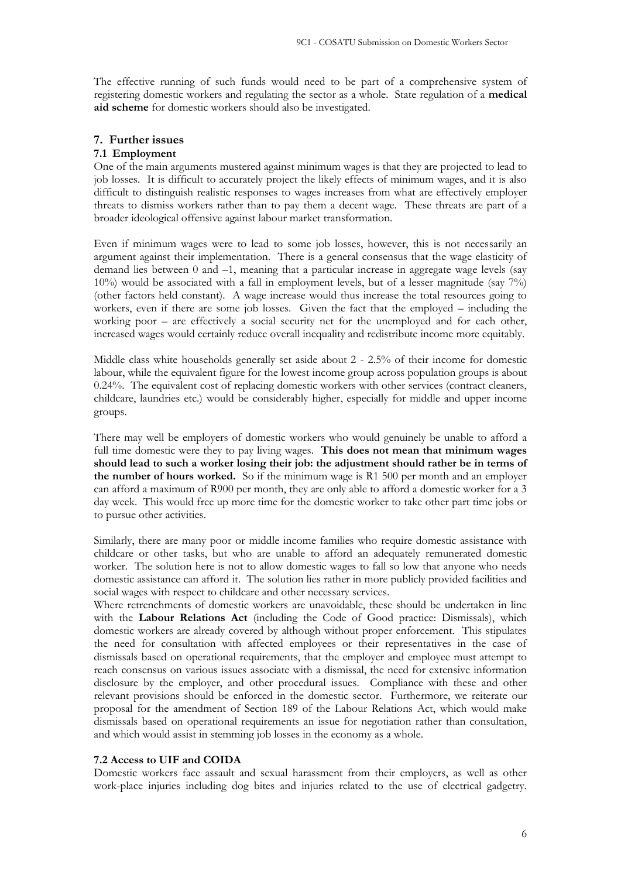The effective running of such funds would need to be part of a comprehensive system of registering domestic workers and regulating the sector as a whole. State regulation of a **medical aid scheme** for domestic workers should also be investigated.

## **7. Further issues**

### **7.1 Employment**

One of the main arguments mustered against minimum wages is that they are projected to lead to job losses. It is difficult to accurately project the likely effects of minimum wages, and it is also difficult to distinguish realistic responses to wages increases from what are effectively employer threats to dismiss workers rather than to pay them a decent wage. These threats are part of a broader ideological offensive against labour market transformation.

Even if minimum wages were to lead to some job losses, however, this is not necessarily an argument against their implementation. There is a general consensus that the wage elasticity of demand lies between 0 and –1, meaning that a particular increase in aggregate wage levels (say 10%) would be associated with a fall in employment levels, but of a lesser magnitude (say 7%) (other factors held constant). A wage increase would thus increase the total resources going to workers, even if there are some job losses. Given the fact that the employed – including the working poor – are effectively a social security net for the unemployed and for each other, increased wages would certainly reduce overall inequality and redistribute income more equitably.

Middle class white households generally set aside about 2 - 2.5% of their income for domestic labour, while the equivalent figure for the lowest income group across population groups is about 0.24%. The equivalent cost of replacing domestic workers with other services (contract cleaners, childcare, laundries etc.) would be considerably higher, especially for middle and upper income groups.

There may well be employers of domestic workers who would genuinely be unable to afford a full time domestic were they to pay living wages. **This does not mean that minimum wages should lead to such a worker losing their job: the adjustment should rather be in terms of the number of hours worked.** So if the minimum wage is R1 500 per month and an employer can afford a maximum of R900 per month, they are only able to afford a domestic worker for a 3 day week. This would free up more time for the domestic worker to take other part time jobs or to pursue other activities.

Similarly, there are many poor or middle income families who require domestic assistance with childcare or other tasks, but who are unable to afford an adequately remunerated domestic worker. The solution here is not to allow domestic wages to fall so low that anyone who needs domestic assistance can afford it. The solution lies rather in more publicly provided facilities and social wages with respect to childcare and other necessary services.

Where retrenchments of domestic workers are unavoidable, these should be undertaken in line with the **Labour Relations Act** (including the Code of Good practice: Dismissals), which domestic workers are already covered by although without proper enforcement. This stipulates the need for consultation with affected employees or their representatives in the case of dismissals based on operational requirements, that the employer and employee must attempt to reach consensus on various issues associate with a dismissal, the need for extensive information disclosure by the employer, and other procedural issues. Compliance with these and other relevant provisions should be enforced in the domestic sector. Furthermore, we reiterate our proposal for the amendment of Section 189 of the Labour Relations Act, which would make dismissals based on operational requirements an issue for negotiation rather than consultation, and which would assist in stemming job losses in the economy as a whole.

## **7.2 Access to UIF and COIDA**

Domestic workers face assault and sexual harassment from their employers, as well as other work-place injuries including dog bites and injuries related to the use of electrical gadgetry.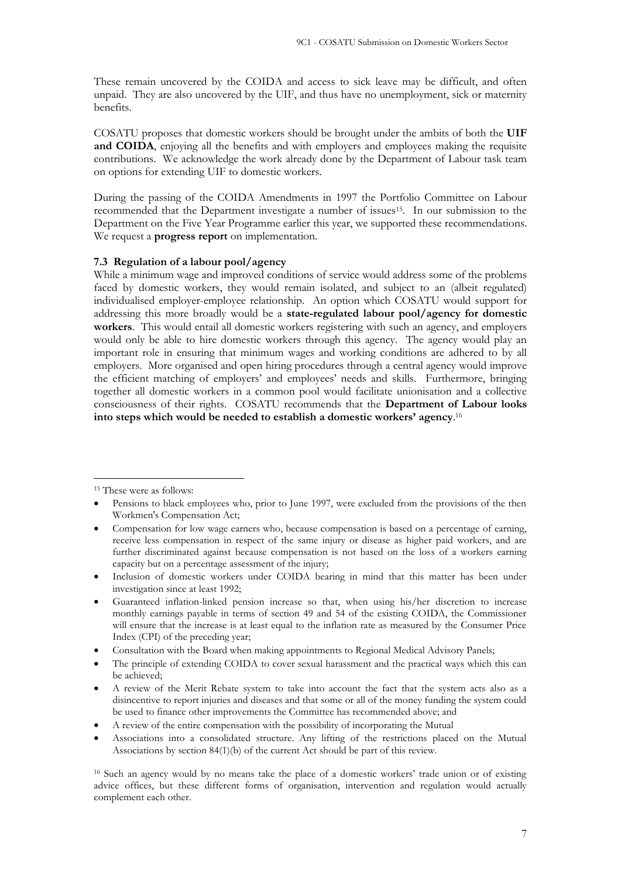These remain uncovered by the COIDA and access to sick leave may be difficult, and often unpaid. They are also uncovered by the UIF, and thus have no unemployment, sick or maternity benefits.

COSATU proposes that domestic workers should be brought under the ambits of both the **UIF and COIDA**, enjoying all the benefits and with employers and employees making the requisite contributions. We acknowledge the work already done by the Department of Labour task team on options for extending UIF to domestic workers.

During the passing of the COIDA Amendments in 1997 the Portfolio Committee on Labour recommended that the Department investigate a number of issues<sup>15</sup>. In our submission to the Department on the Five Year Programme earlier this year, we supported these recommendations. We request a **progress report** on implementation.

#### **7.3 Regulation of a labour pool/agency**

While a minimum wage and improved conditions of service would address some of the problems faced by domestic workers, they would remain isolated, and subject to an (albeit regulated) individualised employer-employee relationship. An option which COSATU would support for addressing this more broadly would be a **state-regulated labour pool/agency for domestic workers**. This would entail all domestic workers registering with such an agency, and employers would only be able to hire domestic workers through this agency. The agency would play an important role in ensuring that minimum wages and working conditions are adhered to by all employers. More organised and open hiring procedures through a central agency would improve the efficient matching of employers' and employees' needs and skills. Furthermore, bringing together all domestic workers in a common pool would facilitate unionisation and a collective consciousness of their rights. COSATU recommends that the **Department of Labour looks into steps which would be needed to establish a domestic workers' agency**. 16

- Guaranteed inflation-linked pension increase so that, when using his/her discretion to increase monthly earnings payable in terms of section 49 and 54 of the existing COIDA, the Commissioner will ensure that the increase is at least equal to the inflation rate as measured by the Consumer Price Index (CPI) of the preceding year;
- Consultation with the Board when making appointments to Regional Medical Advisory Panels;
- The principle of extending COIDA to cover sexual harassment and the practical ways which this can be achieved;
- A review of the Merit Rebate system to take into account the fact that the system acts also as a disincentive to report injuries and diseases and that some or all of the money funding the system could be used to finance other improvements the Committee has recommended above; and
- A review of the entire compensation with the possibility of incorporating the Mutual
- Associations into a consolidated structure. Any lifting of the restrictions placed on the Mutual Associations by section 84(1)(b) of the current Act should be part of this review.

<sup>16</sup> Such an agency would by no means take the place of a domestic workers' trade union or of existing advice offices, but these different forms of organisation, intervention and regulation would actually complement each other.

<sup>15</sup> These were as follows:

Pensions to black employees who, prior to June 1997, were excluded from the provisions of the then Workmen's Compensation Act;

<sup>•</sup> Compensation for low wage earners who, because compensation is based on a percentage of earning, receive less compensation in respect of the same injury or disease as higher paid workers, and are further discriminated against because compensation is not based on the loss of a workers earning capacity but on a percentage assessment of the injury;

<sup>•</sup> Inclusion of domestic workers under COIDA bearing in mind that this matter has been under investigation since at least 1992;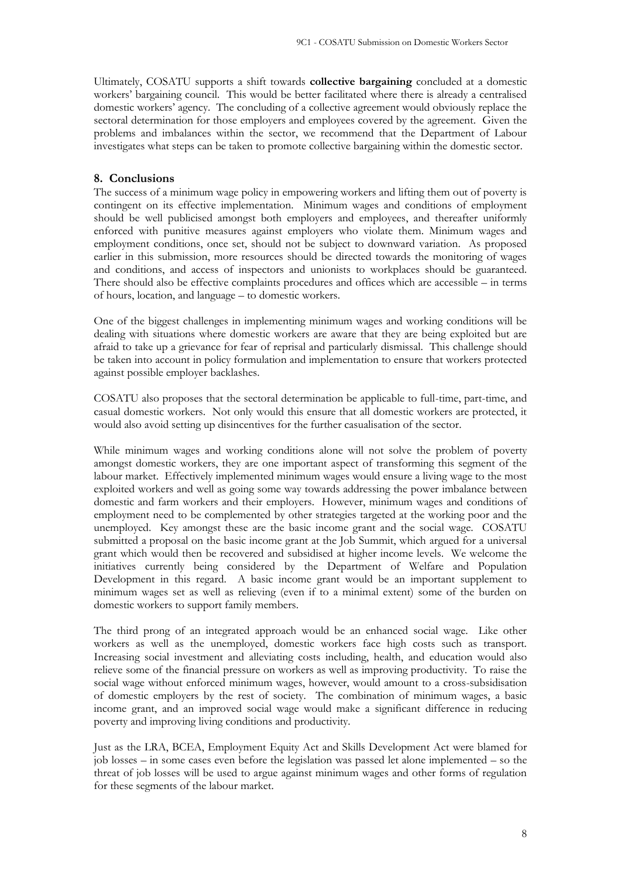Ultimately, COSATU supports a shift towards **collective bargaining** concluded at a domestic workers' bargaining council. This would be better facilitated where there is already a centralised domestic workers' agency. The concluding of a collective agreement would obviously replace the sectoral determination for those employers and employees covered by the agreement. Given the problems and imbalances within the sector, we recommend that the Department of Labour investigates what steps can be taken to promote collective bargaining within the domestic sector.

### **8. Conclusions**

The success of a minimum wage policy in empowering workers and lifting them out of poverty is contingent on its effective implementation. Minimum wages and conditions of employment should be well publicised amongst both employers and employees, and thereafter uniformly enforced with punitive measures against employers who violate them. Minimum wages and employment conditions, once set, should not be subject to downward variation. As proposed earlier in this submission, more resources should be directed towards the monitoring of wages and conditions, and access of inspectors and unionists to workplaces should be guaranteed. There should also be effective complaints procedures and offices which are accessible – in terms of hours, location, and language – to domestic workers.

One of the biggest challenges in implementing minimum wages and working conditions will be dealing with situations where domestic workers are aware that they are being exploited but are afraid to take up a grievance for fear of reprisal and particularly dismissal. This challenge should be taken into account in policy formulation and implementation to ensure that workers protected against possible employer backlashes.

COSATU also proposes that the sectoral determination be applicable to full-time, part-time, and casual domestic workers. Not only would this ensure that all domestic workers are protected, it would also avoid setting up disincentives for the further casualisation of the sector.

While minimum wages and working conditions alone will not solve the problem of poverty amongst domestic workers, they are one important aspect of transforming this segment of the labour market. Effectively implemented minimum wages would ensure a living wage to the most exploited workers and well as going some way towards addressing the power imbalance between domestic and farm workers and their employers. However, minimum wages and conditions of employment need to be complemented by other strategies targeted at the working poor and the unemployed. Key amongst these are the basic income grant and the social wage. COSATU submitted a proposal on the basic income grant at the Job Summit, which argued for a universal grant which would then be recovered and subsidised at higher income levels. We welcome the initiatives currently being considered by the Department of Welfare and Population Development in this regard. A basic income grant would be an important supplement to minimum wages set as well as relieving (even if to a minimal extent) some of the burden on domestic workers to support family members.

The third prong of an integrated approach would be an enhanced social wage. Like other workers as well as the unemployed, domestic workers face high costs such as transport. Increasing social investment and alleviating costs including, health, and education would also relieve some of the financial pressure on workers as well as improving productivity. To raise the social wage without enforced minimum wages, however, would amount to a cross-subsidisation of domestic employers by the rest of society. The combination of minimum wages, a basic income grant, and an improved social wage would make a significant difference in reducing poverty and improving living conditions and productivity.

Just as the LRA, BCEA, Employment Equity Act and Skills Development Act were blamed for job losses – in some cases even before the legislation was passed let alone implemented – so the threat of job losses will be used to argue against minimum wages and other forms of regulation for these segments of the labour market.